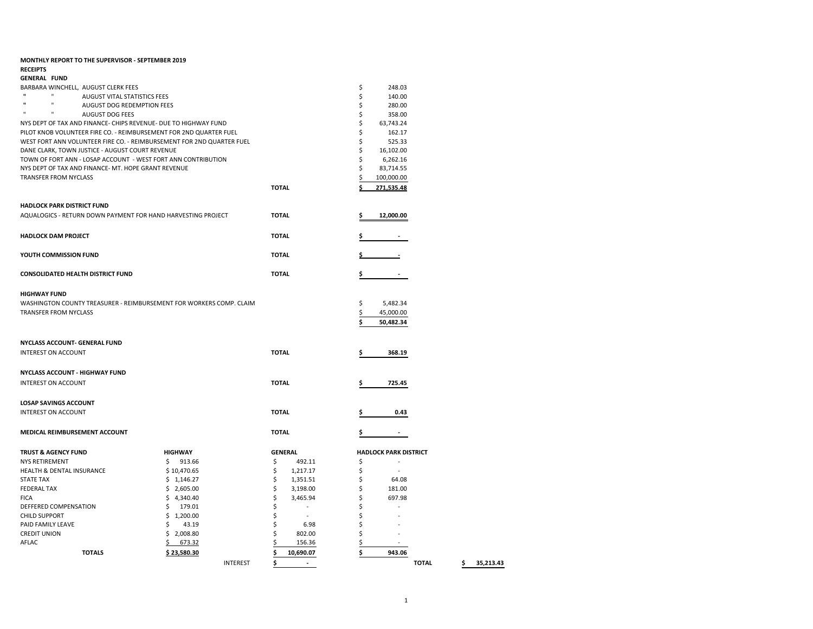|                                      | <b>MONTHLY REPORT TO THE SUPERVISOR - SEPTEMBER 2019</b>                                  |                |                 |              |                |         |                              |              |                 |
|--------------------------------------|-------------------------------------------------------------------------------------------|----------------|-----------------|--------------|----------------|---------|------------------------------|--------------|-----------------|
| <b>RECEIPTS</b>                      |                                                                                           |                |                 |              |                |         |                              |              |                 |
| <b>GENERAL FUND</b>                  |                                                                                           |                |                 |              |                |         |                              |              |                 |
| $\mathbf{u}$                         | BARBARA WINCHELL, AUGUST CLERK FEES                                                       |                |                 |              |                | \$      | 248.03                       |              |                 |
| $\mathbf{u}$<br>$\mathbf{u}$         | AUGUST VITAL STATISTICS FEES                                                              |                |                 |              |                | \$      | 140.00                       |              |                 |
| $\mathbf{H}$<br>$\mathbf{H}$         | <b>AUGUST DOG REDEMPTION FEES</b>                                                         |                |                 |              |                | \$      | 280.00                       |              |                 |
|                                      | <b>AUGUST DOG FEES</b><br>NYS DEPT OF TAX AND FINANCE- CHIPS REVENUE- DUE TO HIGHWAY FUND |                |                 |              |                | \$<br>Ś | 358.00<br>63,743.24          |              |                 |
|                                      | PILOT KNOB VOLUNTEER FIRE CO. - REIMBURSEMENT FOR 2ND QUARTER FUEL                        |                |                 |              |                | \$      | 162.17                       |              |                 |
|                                      | WEST FORT ANN VOLUNTEER FIRE CO. - REIMBURSEMENT FOR 2ND QUARTER FUEL                     |                |                 |              |                | \$      | 525.33                       |              |                 |
|                                      | DANE CLARK, TOWN JUSTICE - AUGUST COURT REVENUE                                           |                |                 |              |                | Ś       | 16,102.00                    |              |                 |
|                                      | TOWN OF FORT ANN - LOSAP ACCOUNT - WEST FORT ANN CONTRIBUTION                             |                |                 |              |                | \$      | 6,262.16                     |              |                 |
|                                      | NYS DEPT OF TAX AND FINANCE- MT. HOPE GRANT REVENUE                                       |                |                 |              |                | Ś       | 83,714.55                    |              |                 |
| TRANSFER FROM NYCLASS                |                                                                                           |                |                 |              |                |         | 100,000.00                   |              |                 |
|                                      |                                                                                           |                |                 | <b>TOTAL</b> |                |         | 271,535.48                   |              |                 |
|                                      |                                                                                           |                |                 |              |                |         |                              |              |                 |
| HADLOCK PARK DISTRICT FUND           |                                                                                           |                |                 |              |                |         |                              |              |                 |
|                                      | AQUALOGICS - RETURN DOWN PAYMENT FOR HAND HARVESTING PROJECT                              |                |                 | <b>TOTAL</b> |                |         | 12,000.00                    |              |                 |
|                                      |                                                                                           |                |                 |              |                |         |                              |              |                 |
| <b>HADLOCK DAM PROJECT</b>           |                                                                                           |                |                 | <b>TOTAL</b> |                |         |                              |              |                 |
|                                      |                                                                                           |                |                 |              |                |         |                              |              |                 |
| YOUTH COMMISSION FUND                |                                                                                           |                |                 | <b>TOTAL</b> |                |         |                              |              |                 |
|                                      | <b>CONSOLIDATED HEALTH DISTRICT FUND</b>                                                  |                |                 | <b>TOTAL</b> |                |         |                              |              |                 |
|                                      |                                                                                           |                |                 |              |                |         |                              |              |                 |
| <b>HIGHWAY FUND</b>                  |                                                                                           |                |                 |              |                |         |                              |              |                 |
|                                      | WASHINGTON COUNTY TREASURER - REIMBURSEMENT FOR WORKERS COMP. CLAIM                       |                |                 |              |                | \$      | 5,482.34                     |              |                 |
| TRANSFER FROM NYCLASS                |                                                                                           |                |                 |              |                | \$      | 45,000.00                    |              |                 |
|                                      |                                                                                           |                |                 |              |                |         | 50,482.34                    |              |                 |
|                                      |                                                                                           |                |                 |              |                |         |                              |              |                 |
|                                      | NYCLASS ACCOUNT- GENERAL FUND                                                             |                |                 |              |                |         |                              |              |                 |
| <b>INTEREST ON ACCOUNT</b>           |                                                                                           |                |                 | <b>TOTAL</b> |                | \$      | 368.19                       |              |                 |
|                                      |                                                                                           |                |                 |              |                |         |                              |              |                 |
|                                      | <b>NYCLASS ACCOUNT - HIGHWAY FUND</b>                                                     |                |                 |              |                |         |                              |              |                 |
| <b>INTEREST ON ACCOUNT</b>           |                                                                                           |                |                 | <b>TOTAL</b> |                |         | 725.45                       |              |                 |
|                                      |                                                                                           |                |                 |              |                |         |                              |              |                 |
| <b>LOSAP SAVINGS ACCOUNT</b>         |                                                                                           |                |                 |              |                |         |                              |              |                 |
| <b>INTEREST ON ACCOUNT</b>           |                                                                                           |                |                 | <b>TOTAL</b> |                |         | 0.43                         |              |                 |
|                                      |                                                                                           |                |                 |              |                |         |                              |              |                 |
|                                      | MEDICAL REIMBURSEMENT ACCOUNT                                                             |                |                 | <b>TOTAL</b> |                |         | $\overline{\phantom{a}}$     |              |                 |
| <b>TRUST &amp; AGENCY FUND</b>       |                                                                                           | <b>HIGHWAY</b> |                 |              | <b>GENERAL</b> |         | <b>HADLOCK PARK DISTRICT</b> |              |                 |
| <b>NYS RETIREMENT</b>                |                                                                                           | \$913.66       |                 | \$           | 492.11         | \$      |                              |              |                 |
| <b>HEALTH &amp; DENTAL INSURANCE</b> |                                                                                           | \$10,470.65    |                 | \$           | 1,217.17       | \$      | $\sim$                       |              |                 |
| <b>STATE TAX</b>                     |                                                                                           | \$1,146.27     |                 | \$           | 1,351.51       | \$      | 64.08                        |              |                 |
| <b>FEDERAL TAX</b>                   |                                                                                           | \$2,605.00     |                 | \$           | 3,198.00       | \$      | 181.00                       |              |                 |
| <b>FICA</b>                          |                                                                                           | \$4,340.40     |                 | \$           | 3,465.94       | \$      | 697.98                       |              |                 |
| DEFFERED COMPENSATION                |                                                                                           | \$<br>179.01   |                 | \$           |                |         |                              |              |                 |
| <b>CHILD SUPPORT</b>                 |                                                                                           | \$1,200.00     |                 | \$           | $\sim$         |         |                              |              |                 |
| PAID FAMILY LEAVE                    |                                                                                           | 43.19<br>S     |                 | Ś            | 6.98           | Ś       |                              |              |                 |
| <b>CREDIT UNION</b>                  |                                                                                           | \$2,008.80     |                 | Ś            | 802.00         | \$      |                              |              |                 |
| AFLAC                                |                                                                                           | 673.32         |                 |              | 156.36         |         |                              |              |                 |
|                                      | <b>TOTALS</b>                                                                             | \$23,580.30    |                 | Ś            | 10,690.07      |         | 943.06                       |              |                 |
|                                      |                                                                                           |                | <b>INTEREST</b> | \$           | $\sim$         |         |                              | <b>TOTAL</b> | \$<br>35,213.43 |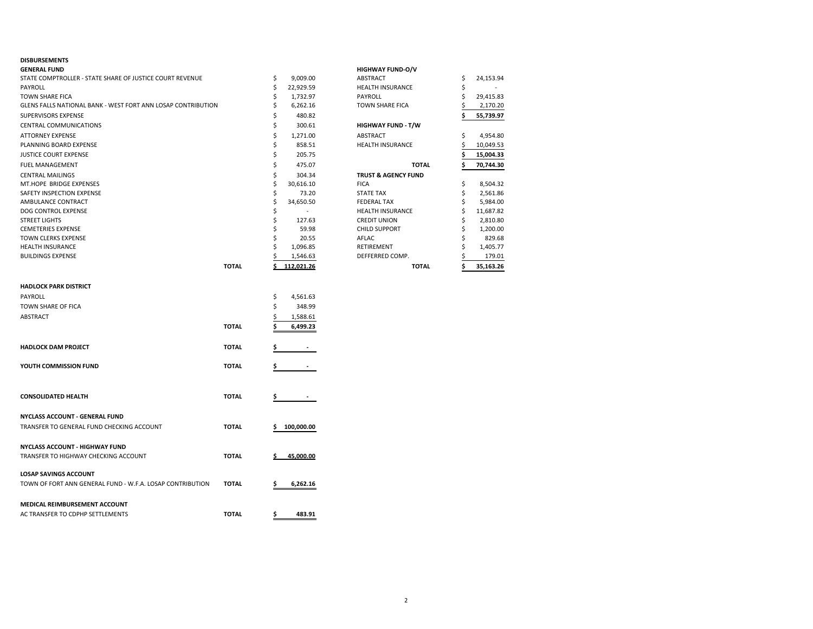## **DISBURSEMENTS**

| <b>GENERAL FUND</b>                                          |   |            | <b>HIGHWAY FUND-O/V</b>        |                 |
|--------------------------------------------------------------|---|------------|--------------------------------|-----------------|
| STATE COMPTROLLER - STATE SHARE OF JUSTICE COURT REVENUE     | Ś | 9.009.00   | ABSTRACT                       | \$<br>24,153.94 |
| PAYROLL                                                      |   | 22,929.59  | <b>HEALTH INSURANCE</b>        |                 |
| <b>TOWN SHARE FICA</b>                                       |   | 1.732.97   | PAYROLL                        | 29,415.83       |
| GLENS FALLS NATIONAL BANK - WEST FORT ANN LOSAP CONTRIBUTION |   | 6,262.16   | <b>TOWN SHARE FICA</b>         | 2,170.20        |
| SUPERVISORS EXPENSE                                          |   | 480.82     |                                | 55,739.97       |
| <b>CENTRAL COMMUNICATIONS</b>                                |   | 300.61     | <b>HIGHWAY FUND - T/W</b>      |                 |
| <b>ATTORNEY EXPENSE</b>                                      |   | 1.271.00   | ABSTRACT                       | 4,954.80        |
| PLANNING BOARD EXPENSE                                       |   | 858.51     | <b>HEALTH INSURANCE</b>        | 10,049.53       |
| <b>JUSTICE COURT EXPENSE</b>                                 |   | 205.75     |                                | 15,004.33       |
| <b>FUEL MANAGEMENT</b>                                       |   | 475.07     | <b>TOTAL</b>                   | 70.744.30       |
| <b>CENTRAL MAILINGS</b>                                      |   | 304.34     | <b>TRUST &amp; AGENCY FUND</b> |                 |
| MT.HOPE BRIDGE EXPENSES                                      |   | 30.616.10  | <b>FICA</b>                    | 8,504.32        |
| SAFETY INSPECTION EXPENSE                                    |   | 73.20      | <b>STATE TAX</b>               | 2,561.86        |
| AMBULANCE CONTRACT                                           |   | 34,650.50  | <b>FEDERAL TAX</b>             | 5,984.00        |
| DOG CONTROL EXPENSE                                          |   |            | <b>HEALTH INSURANCE</b>        | 11,687.82       |
| <b>STREET LIGHTS</b>                                         |   | 127.63     | <b>CREDIT UNION</b>            | 2,810.80        |
| <b>CEMETERIES EXPENSE</b>                                    |   | 59.98      | <b>CHILD SUPPORT</b>           | 1,200.00        |
| <b>TOWN CLERKS EXPENSE</b>                                   |   | 20.55      | AFLAC                          | 829.68          |
| <b>HEALTH INSURANCE</b>                                      |   | 1,096.85   | RETIREMENT                     | 1,405.77        |
| <b>BUILDINGS EXPENSE</b>                                     |   | 1,546.63   | DEFFERRED COMP.                | 179.01          |
| <b>TOTAL</b>                                                 |   | 112,021.26 | <b>TOTAL</b>                   | 35,163.26       |
| <b>HADLOCK PARK DISTRICT</b>                                 |   |            |                                |                 |

| PAYROLL                                                   |              | \$<br>4,561.63   |
|-----------------------------------------------------------|--------------|------------------|
| TOWN SHARE OF FICA                                        |              | \$<br>348.99     |
|                                                           |              |                  |
| ABSTRACT                                                  |              | \$<br>1,588.61   |
|                                                           | <b>TOTAL</b> | \$<br>6,499.23   |
| <b>HADLOCK DAM PROJECT</b>                                | <b>TOTAL</b> | \$               |
| YOUTH COMMISSION FUND                                     | <b>TOTAL</b> | \$               |
|                                                           |              |                  |
| <b>CONSOLIDATED HEALTH</b>                                | <b>TOTAL</b> | \$               |
| NYCLASS ACCOUNT - GENERAL FUND                            |              |                  |
| TRANSFER TO GENERAL FUND CHECKING ACCOUNT                 | <b>TOTAL</b> | 100,000.00<br>\$ |
| NYCLASS ACCOUNT - HIGHWAY FUND                            |              |                  |
| TRANSFER TO HIGHWAY CHECKING ACCOUNT                      | <b>TOTAL</b> | 45.000.00<br>Ś.  |
| <b>LOSAP SAVINGS ACCOUNT</b>                              |              |                  |
| TOWN OF FORT ANN GENERAL FUND - W.F.A. LOSAP CONTRIBUTION | <b>TOTAL</b> | 6,262.16<br>\$   |
| MEDICAL REIMBURSEMENT ACCOUNT                             |              |                  |
| AC TRANSFER TO CDPHP SETTLEMENTS                          | <b>TOTAL</b> | \$<br>483.91     |
|                                                           |              |                  |